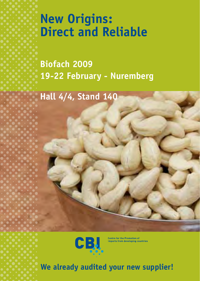# **New Origins: Direct and Reliable**

**Biofach 2009 19-22 February - Nuremberg**

**Hall 4/4, Stand 140**

CB.

**Centre for the Promotion of<br>Imports from developing countries** 

**We already audited your new supplier!**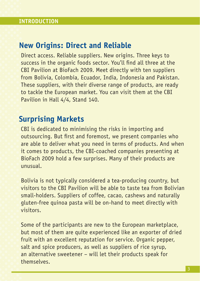#### **New Origins: Direct and Reliable**

Direct access. Reliable suppliers. New origins. Three keys to success in the organic foods sector. You'll find all three at the CBI Pavilion at BioFach 2009. Meet directly with ten suppliers from Bolivia, Colombia, Ecuador, India, Indonesia and Pakistan. These suppliers, with their diverse range of products, are ready to tackle the European market. You can visit them at the CBI Pavilion in Hall 4/4, Stand 140.

#### **Surprising Markets**

CBI is dedicated to minimising the risks in importing and outsourcing. But first and foremost, we present companies who are able to deliver what you need in terms of products. And when it comes to products, the CBI-coached companies presenting at BioFach 2009 hold a few surprises. Many of their products are unusual.

Bolivia is not typically considered a tea-producing country, but visitors to the CBI Pavilion will be able to taste tea from Bolivian small-holders. Suppliers of coffee, cacao, cashews and naturally gluten-free quinoa pasta will be on-hand to meet directly with visitors.

Some of the participants are new to the European marketplace, but most of them are quite experienced like an exporter of dried fruit with an excellent reputation for service. Organic pepper, salt and spice producers, as well as suppliers of rice syrup, an alternative sweetener – will let their products speak for themselves.